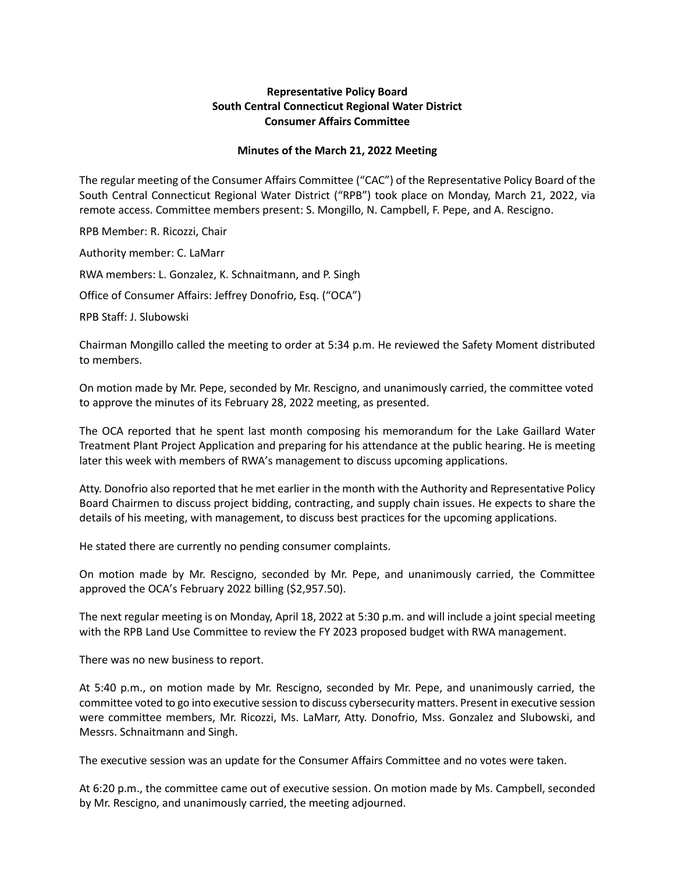## **Representative Policy Board South Central Connecticut Regional Water District Consumer Affairs Committee**

## **Minutes of the March 21, 2022 Meeting**

The regular meeting of the Consumer Affairs Committee ("CAC") of the Representative Policy Board of the South Central Connecticut Regional Water District ("RPB") took place on Monday, March 21, 2022, via remote access. Committee members present: S. Mongillo, N. Campbell, F. Pepe, and A. Rescigno.

RPB Member: R. Ricozzi, Chair

Authority member: C. LaMarr

RWA members: L. Gonzalez, K. Schnaitmann, and P. Singh

Office of Consumer Affairs: Jeffrey Donofrio, Esq. ("OCA")

RPB Staff: J. Slubowski

Chairman Mongillo called the meeting to order at 5:34 p.m. He reviewed the Safety Moment distributed to members.

On motion made by Mr. Pepe, seconded by Mr. Rescigno, and unanimously carried, the committee voted to approve the minutes of its February 28, 2022 meeting, as presented.

The OCA reported that he spent last month composing his memorandum for the Lake Gaillard Water Treatment Plant Project Application and preparing for his attendance at the public hearing. He is meeting later this week with members of RWA's management to discuss upcoming applications.

Atty. Donofrio also reported that he met earlier in the month with the Authority and Representative Policy Board Chairmen to discuss project bidding, contracting, and supply chain issues. He expects to share the details of his meeting, with management, to discuss best practices for the upcoming applications.

He stated there are currently no pending consumer complaints.

On motion made by Mr. Rescigno, seconded by Mr. Pepe, and unanimously carried, the Committee approved the OCA's February 2022 billing (\$2,957.50).

The next regular meeting is on Monday, April 18, 2022 at 5:30 p.m. and will include a joint special meeting with the RPB Land Use Committee to review the FY 2023 proposed budget with RWA management.

There was no new business to report.

At 5:40 p.m., on motion made by Mr. Rescigno, seconded by Mr. Pepe, and unanimously carried, the committee voted to go into executive session to discuss cybersecurity matters. Present in executive session were committee members, Mr. Ricozzi, Ms. LaMarr, Atty. Donofrio, Mss. Gonzalez and Slubowski, and Messrs. Schnaitmann and Singh.

The executive session was an update for the Consumer Affairs Committee and no votes were taken.

At 6:20 p.m., the committee came out of executive session. On motion made by Ms. Campbell, seconded by Mr. Rescigno, and unanimously carried, the meeting adjourned.